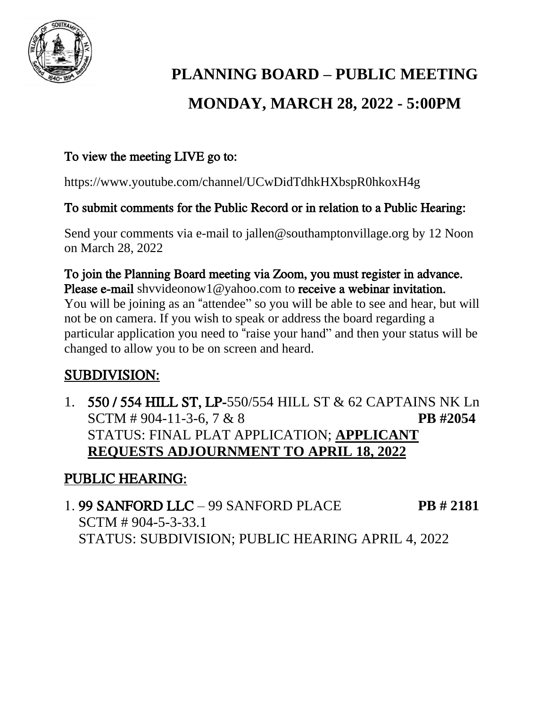

# **PLANNING BOARD – PUBLIC MEETING MONDAY, MARCH 28, 2022 - 5:00PM**

### To view the meeting LIVE go to:

https://www.youtube.com/channel/UCwDidTdhkHXbspR0hkoxH4g

#### To submit comments for the Public Record or in relation to a Public Hearing:

Send your comments via e-mail to jallen@southamptonvillage.org by 12 Noon on March 28, 2022

To join the Planning Board meeting via Zoom, you must register in advance. Please e-mail shyvideonow1@yahoo.com to receive a webinar invitation. You will be joining as an "attendee" so you will be able to see and hear, but will not be on camera. If you wish to speak or address the board regarding a particular application you need to "raise your hand" and then your status will be changed to allow you to be on screen and heard.

# SUBDIVISION:

1. 550 / 554 HILL ST, LP-550/554 HILL ST & 62 CAPTAINS NK Ln SCTM # 904-11-3-6, 7 & 8 **PB #2054** STATUS: FINAL PLAT APPLICATION; **APPLICANT REQUESTS ADJOURNMENT TO APRIL 18, 2022**

# PUBLIC HEARING:

1. 99 SANFORD LLC – 99 SANFORD PLACE **PB # 2181** SCTM # 904-5-3-33.1 STATUS: SUBDIVISION; PUBLIC HEARING APRIL 4, 2022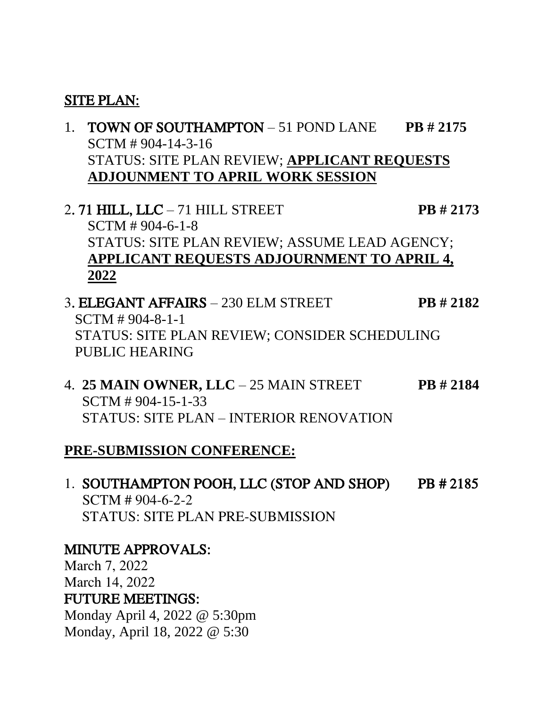#### SITE PLAN:

- 1. TOWN OF SOUTHAMPTON 51 POND LANE **PB # 2175** SCTM # 904-14-3-16 STATUS: SITE PLAN REVIEW; **APPLICANT REQUESTS ADJOUNMENT TO APRIL WORK SESSION**
- 2. 71 HILL, LLC 71 HILL STREET **PB # 2173** SCTM # 904-6-1-8 STATUS: SITE PLAN REVIEW; ASSUME LEAD AGENCY; **APPLICANT REQUESTS ADJOURNMENT TO APRIL 4, 2022**
- 3. ELEGANT AFFAIRS 230 ELM STREET **PB # 2182** SCTM # 904-8-1-1 STATUS: SITE PLAN REVIEW; CONSIDER SCHEDULING PUBLIC HEARING
- 4. **25 MAIN OWNER, LLC** 25 MAIN STREET **PB # 2184** SCTM # 904-15-1-33 STATUS: SITE PLAN – INTERIOR RENOVATION

## **PRE-SUBMISSION CONFERENCE:**

1. SOUTHAMPTON POOH, LLC (STOP AND SHOP) PB # 2185 SCTM # 904-6-2-2 STATUS: SITE PLAN PRE-SUBMISSION

## MINUTE APPROVALS:

March 7, 2022 March 14, 2022 FUTURE MEETINGS: Monday April 4, 2022 @ 5:30pm Monday, April 18, 2022 @ 5:30